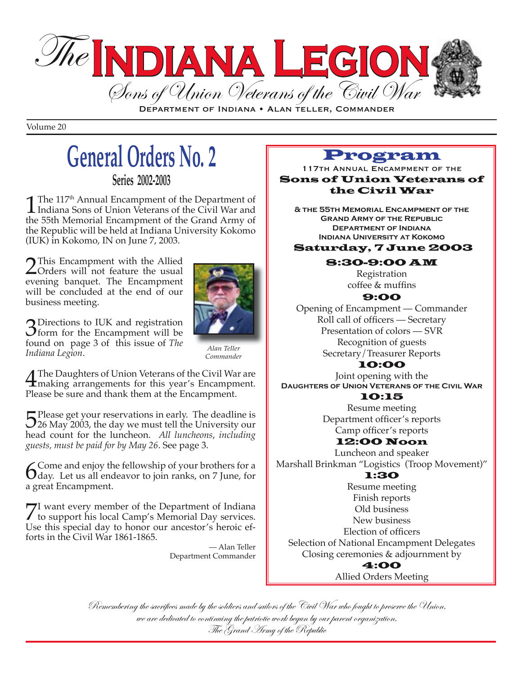

DEPARTMENT OF INDIANA • ALAN TELLER, COMMANDER

Volume 20

# **General Orders No. 2**

**Series 2002-2003**

**1** The 117<sup>th</sup> Annual Encampment of the Department of Indiana Sons of Union Veterans of the Civil War and the 55th Momorial Encampment of the Crand Army of the 55th Memorial Encampment of the Grand Army of the Republic will be held at Indiana University Kokomo (IUK) in Kokomo, IN on June 7, 2003.

2 This Encampment with the Allied<br>
Orders will not feature the usual<br>
ovening banquet. The Encampment evening banquet. The Encampment will be concluded at the end of our business meeting.



 $3^{2}$  Directions to IUK and registration<br>form for the Encampment will be<br>found on  $2^{3}$  of this issue of The found on page 3 of this issue of *The Indiana Legion*.

*Alan Teller Commander*

The Daughters of Union Veterans of the Civil War are<br>
making arrangements for this year's Encampment.<br>
Plose be sure and thank them at the Encampment. Please be sure and thank them at the Encampment.

5 Please get your reservations in early. The deadline is<br>5 26 May 2003, the day we must tell the University our<br>head count for the Juncheon 411 Juncheons, including head count for the luncheon. *All luncheons*, *including guests, must be paid for by May 26*. See page 3.

**6** Come and enjoy the fellowship of your brothers for a day. Let us all endeavor to join ranks, on 7 June, for a great Encampment.

7I want every member of the Department of Indiana<br>to support his local Camp's Memorial Day services.<br>Uso this special day to bonor our ancestor's boroic of Use this special day to honor our ancestor's heroic efforts in the Civil War 1861-1865.

> — Alan Teller Department Commander

#### Program

117TH ANNUAL ENCAMPMENT OF THE Sons of Union Veterans of the Civil War

**& the 55th Memorial Encampment of the Grand Army of the Republic Department of Indiana Indiana University at Kokomo**

Saturday, 7 June 2003

#### 8:30-9:00 AM

Registration coffee & muffins

#### 9:00

Opening of Encampment — Commander Roll call of officers - Secretary Presentation of colors — SVR Recognition of guests Secretary/Treasurer Reports

#### 10:00

Joint opening with the **Daughters of Union Veterans of the Civil War**  10:15

Resume meeting Department officer's reports Camp officer's reports

#### 12:00 Noon

Luncheon and speaker Marshall Brinkman "Logistics (Troop Movement)"

#### 1:30

Resume meeting Finish reports Old business New business Election of officers Selection of National Encampment Delegates Closing ceremonies & adjournment by 4:00 Allied Orders Meeting

Remembering the sacrifices made by the soldiers and sailors of the Civil War who fought to preserve the Union, we are dedicated to continuing the patriotic work begun by our parent organization, The Grand Army of the Republic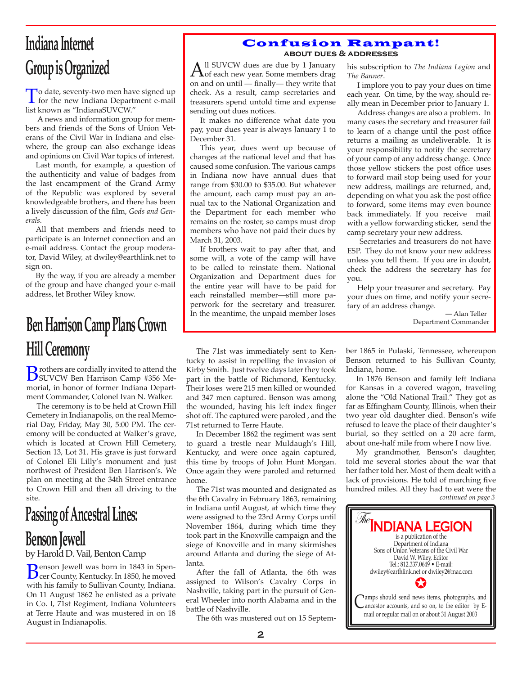# **Indiana Internet Group is Organized**

To date, seventy-two men have signed up<br>for the new Indiana Department e-mail<br>list known 20 "IndianaSI WCW" list known as "IndianaSUVCW."

 A news and information group for members and friends of the Sons of Union Veterans of the Civil War in Indiana and elsewhere, the group can also exchange ideas and opinions on Civil War topics of interest.

Last month, for example, a question of the authenticity and value of badges from the last encampment of the Grand Army of the Republic was explored by several knowledgeable brothers, and there has been a lively discussion of the film, *Gods and Generals.*

All that members and friends need to participate is an Internet connection and an e-mail address. Contact the group moderator, David Wiley, at dwiley@earthlink.net to sign on.

By the way, if you are already a member of the group and have changed your e-mail address, let Brother Wiley know.

# **Ben Harrison Camp Plans Crown Hill Ceremony**

**B**rothers are cordially invited to attend the<br>
SUVCW Ben Harrison Camp #356 Me-<br>
morial in bonor of formor Indiana Donart morial, in honor of former Indiana Department Commander, Colonel Ivan N. Walker.

The ceremony is to be held at Crown Hill Cemetery in Indianapolis, on the real Memorial Day, Friday, May 30, 5:00 PM. The ceremony will be conducted at Walker's grave, which is located at Crown Hill Cemetery, Section 13, Lot 31. His grave is just forward of Colonel Eli Lilly's monument and just northwest of President Ben Harrison's. We plan on meeting at the 34th Street entrance to Crown Hill and then all driving to the site.

# **Passing of Ancestral Lines:**

### **Benson Jewell**

by Harold D. Vail, Benton Camp

**Benson Jewell was born in 1843 in Spen-** and the fall of Atlanta, the 6th was expected to Wilson's Cavalry Corps in with his family to Sullivan County, Indiana. cer County, Kentucky. In 1850, he moved with his family to Sullivan County, Indiana. On 11 August 1862 he enlisted as a private in Co. I, 71st Regiment, Indiana Volunteers at Terre Haute and was mustered in on 18 August in Indianapolis.

#### Confusion Rampant! **about dues & addresses**

 $A<sup>II</sup>$  SUVCW dues are due by 1 January<br>
of each new year. Some members drag on and on until — finally— they write that check. As a result, camp secretaries and treasurers spend untold time and expense sending out dues notices.

It makes no difference what date you pay, your dues year is always January 1 to December 31.

This year, dues went up because of changes at the national level and that has caused some confusion. The various camps in Indiana now have annual dues that range from \$30.00 to \$35.00. But whatever the amount, each camp must pay an annual tax to the National Organization and the Department for each member who remains on the roster, so camps must drop members who have not paid their dues by March 31, 2003.

If brothers wait to pay after that, and some will, a vote of the camp will have to be called to reinstate them. National Organization and Department dues for the entire year will have to be paid for each reinstalled member—still more paperwork for the secretary and treasurer. In the meantime, the unpaid member loses his subscription to *The Indiana Legion* and *The Banner*.

I implore you to pay your dues on time each year. On time, by the way, should really mean in December prior to January 1.

Address changes are also a problem. In many cases the secretary and treasurer fail to learn of a change until the post office returns a mailing as undeliverable. It is your responsibility to notify the secretary of your camp of any address change. Once those yellow stickers the post office uses to forward mail stop being used for your new address, mailings are returned, and, depending on what you ask the post office to forward, some items may even bounce back immediately. If you receive mail with a yellow forwarding sticker, send the camp secretary your new address.

 Secretaries and treasurers do not have ESP. They do not know your new address unless you tell them. If you are in doubt, check the address the secretary has for you.

Help your treasurer and secretary. Pay your dues on time, and notify your secretary of an address change.

— Alan Teller Department Commander

The 71st was immediately sent to Kentucky to assist in repelling the invasion of Kirby Smith. Just twelve days later they took part in the battle of Richmond, Kentucky. Their loses were 215 men killed or wounded and 347 men captured. Benson was among the wounded, having his left index finger shot off. The captured were paroled , and the 71st returned to Terre Haute.

In December 1862 the regiment was sent to guard a trestle near Muldaugh's Hill, Kentucky, and were once again captured, this time by troops of John Hunt Morgan. Once again they were paroled and returned home.

The 71st was mounted and designated as the 6th Cavalry in February 1863, remaining in Indiana until August, at which time they were assigned to the 23rd Army Corps until November 1864, during which time they took part in the Knoxville campaign and the siege of Knoxville and in many skirmishes around Atlanta and during the siege of Atlanta.

After the fall of Atlanta, the 6th was assigned to Wilson's Cavalry Corps in Nashville, taking part in the pursuit of General Wheeler into north Alabama and in the battle of Nashville.

The 6th was mustered out on 15 Septem-

ber 1865 in Pulaski, Tennessee, whereupon Benson returned to his Sullivan County, Indiana, home.

In 1876 Benson and family left Indiana for Kansas in a covered wagon, traveling alone the "Old National Trail." They got as far as Effingham County, Illinois, when their two year old daughter died. Benson's wife refused to leave the place of their daughter's burial, so they settled on a 20 acre farm, about one-half mile from where I now live.

*continued on page 3* My grandmother, Benson's daughter, told me several stories about the war that her father told her. Most of them dealt with a lack of provisions. He told of marching five hundred miles. All they had to eat were the

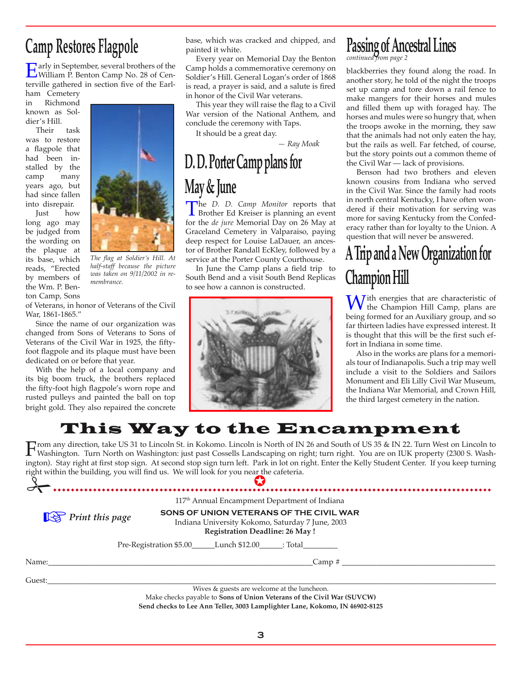### **Camp Restores Flagpole**

Early in September, several brothers of the<br>William P. Benton Camp No. 28 of Cen-<br>termille cathored in section five of the Earl terville gathered in section five of the Earl-

ham Cemetery in Richmond known as Soldier's Hill.

Their task was to restore a flagpole that had been installed by the camp many years ago, but had since fallen into disrepair.

Just how long ago may be judged from the wording on the plaque at its base, which reads, "Erected by members of the Wm. P. Benton Camp, Sons



*The flag at Soldier's Hill. At half-staff because the picture was taken on 9/11/2002 in remembrance.*

of Veterans, in honor of Veterans of the Civil War, 1861-1865."

Since the name of our organization was changed from Sons of Veterans to Sons of Veterans of the Civil War in 1925, the fiftyfoot flagpole and its plaque must have been dedicated on or before that year.

With the help of a local company and its big boom truck, the brothers replaced the fifty-foot high flagpole's worn rope and rusted pulleys and painted the ball on top bright gold. They also repaired the concrete

base, which was cracked and chipped, and painted it white.

Every year on Memorial Day the Benton Camp holds a commemorative ceremony on Soldier's Hill. General Logan's order of 1868 is read, a prayer is said, and a salute is fired in honor of the Civil War veterans.

This year they will raise the flag to a Civil War version of the National Anthem, and conclude the ceremony with Taps.

It should be a great day.

 *— Ray Moak*

# **D. D. Porter Camp plans for May & June**

The *D. D. Camp Monitor* reports that<br>Brother Ed Kreiser is planning an event<br>for the *de jure* Momorial Day on 26 May at for the *de jure* Memorial Day on 26 May at Graceland Cemetery in Valparaiso, paying deep respect for Louise LaDauer, an ancestor of Brother Randall EcKley, followed by a service at the Porter County Courthouse.

In June the Camp plans a field trip to South Bend and a visit South Bend Replicas to see how a cannon is constructed.



### **Passing of Ancestral Lines**

*continued from page 2*

blackberries they found along the road. In another story, he told of the night the troops set up camp and tore down a rail fence to make mangers for their horses and mules and filled them up with foraged hay. The horses and mules were so hungry that, when the troops awoke in the morning, they saw that the animals had not only eaten the hay, but the rails as well. Far fetched, of course, but the story points out a common theme of the Civil War — lack of provisions.

Benson had two brothers and eleven known cousins from Indiana who served in the Civil War. Since the family had roots in north central Kentucky, I have often wondered if their motivation for serving was more for saving Kentucky from the Confederacy rather than for loyalty to the Union. A question that will never be answered.

# **A Trip and a New Organization for Champion Hill**

With energies that are characteristic of<br>the Champion Hill Camp, plans are<br>hoing formed for an Auxiliany group and so being formed for an Auxiliary group, and so far thirteen ladies have expressed interest. It is thought that this will be the first such effort in Indiana in some time.

Also in the works are plans for a memorials tour of Indianapolis. Such a trip may well include a visit to the Soldiers and Sailors Monument and Eli Lilly Civil War Museum, the Indiana War Memorial, and Crown Hill, the third largest cemetery in the nation.

### This Way to the Encampment

right within the building, you will find us. We will look for you near the cafeteria. From any direction, take US 31 to Lincoln St. in Kokomo. Lincoln is North of IN 26 and South of US 35 & IN 22. Turn West on Lincoln to<br>Washington. Turn North on Washington: just past Cossells Landscaping on right; turn ri ington). Stay right at first stop sign. At second stop sign turn left. Park in lot on right. Enter the Kelly Student Center. If you keep turning

|                              | 117 <sup>th</sup> Annual Encampment Department of Indiana                                                                            |
|------------------------------|--------------------------------------------------------------------------------------------------------------------------------------|
| $\mathbb{R}$ Print this page | SONS OF UNION VETERANS OF THE CIVIL WAR<br>Indiana University Kokomo, Saturday 7 June, 2003<br><b>Registration Deadline: 26 May!</b> |
|                              | Pre-Registration \$5.00 _______ Lunch \$12.00 ______: Total __________                                                               |
| Name:                        | $\mathsf{Camp}~\sharp$                                                                                                               |
| Guest:                       |                                                                                                                                      |
|                              | Wives & guests are welcome at the luncheon.                                                                                          |
|                              | Make checks payable to Sons of Union Veterans of the Civil War (SUVCW)                                                               |

Make checks payable to **Sons of Union Veterans of the Civil War (SUVCW) Send checks to Lee Ann Teller, 3003 Lamplighter Lane, Kokomo, IN 46902-8125**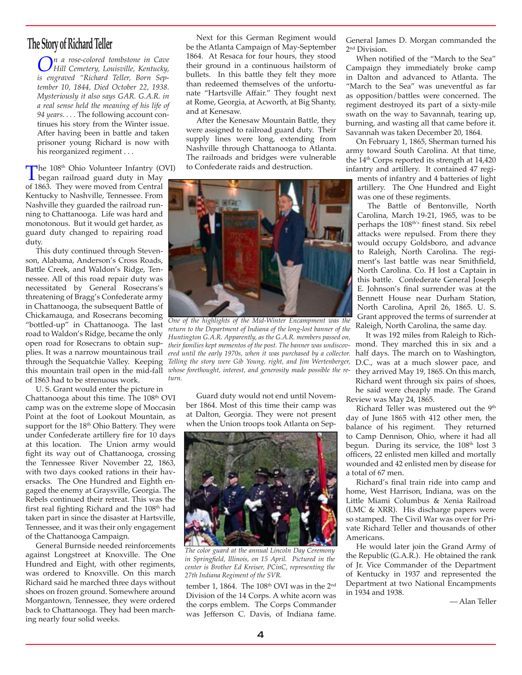### **The Story of Richard Teller**

*On a rose-colored tombstone in Cave Hill Cemetery, Louisville, Kentucky, is engraved "Richard Teller, Born September 10, 1844, Died October 22, 1938. Mysteriously it also says GAR. G.A.R. in a real sense held the meaning of his life of 94 years. . . .* The following account continues his story from the Winter issue. After having been in battle and taken prisoner young Richard is now with his reorganized regiment . . .

The 108<sup>th</sup> Ohio Volunteer Infantry (OVI)<br>began railroad guard duty in May<br>of 1863. They were moved from Control of 1863. They were moved from Central Kentucky to Nashville, Tennessee. From Nashville they guarded the railroad running to Chattanooga. Life was hard and monotonous. But it would get harder, as guard duty changed to repairing road duty.

This duty continued through Stevenson, Alabama, Anderson's Cross Roads, Battle Creek, and Waldon's Ridge, Tennessee. All of this road repair duty was necessitated by General Rosecrans's threatening of Bragg's Confederate army in Chattanooga, the subsequent Battle of Chickamauga, and Rosecrans becoming "bottled-up" in Chattanooga. The last road to Waldon's Ridge, became the only open road for Rosecrans to obtain supplies. It was a narrow mountainous trail through the Sequatchie Valley. Keeping of 1863 had to be strenuous work.

U. S. Grant would enter the picture in Chattanooga about this time. The 108<sup>th</sup> OVI camp was on the extreme slope of Moccasin Point at the foot of Lookout Mountain, as support for the 18<sup>th</sup> Ohio Battery. They were under Confederate artillery fire for 10 days at this location. The Union army would fight its way out of Chattanooga, crossing the Tennessee River November 22, 1863, with two days cooked rations in their haversacks. The One Hundred and Eighth engaged the enemy at Graysville, Georgia. The Rebels continued their retreat. This was the first real fighting Richard and the 108<sup>th</sup> had taken part in since the disaster at Hartsville, Tennessee, and it was their only engagement of the Chattanooga Campaign.

General Burnside needed reinforcements against Longstreet at Knoxville. The One Hundred and Eight, with other regiments, was ordered to Knoxville. On this march Richard said he marched three days without shoes on frozen ground. Somewhere around Morgantown, Tennessee, they were ordered back to Chattanooga. They had been marching nearly four solid weeks.

Next for this German Regiment would be the Atlanta Campaign of May-September 1864. At Resaca for four hours, they stood their ground in a continuous hailstorm of bullets. In this battle they felt they more than redeemed themselves of the unfortunate "Hartsville Affair." They fought next at Rome, Georgia, at Acworth, at Big Shanty, and at Kenesaw.

After the Kenesaw Mountain Battle, they were assigned to railroad guard duty. Their supply lines were long, extending from Nashville through Chattanooga to Atlanta. The railroads and bridges were vulnerable to Confederate raids and destruction.



this mountain trail open in the mid-fall *whose forethought, interest, and generosity made possible the re*ered until the early 1970s, when it was purchased by a collector. half days. The march on to Washington, *One of the highlights of the Mid-Winter Encampment was the return to the Department of Indiana of the long-lost banner of the Huntington G.A.R. Apparently, as the G.A.R. members passed on, their families kept mementos of the post. The banner was undiscov-Telling the story were Gib Young, right, and Jim Wertenberger, turn.* 

Guard duty would not end until November 1864. Most of this time their camp was at Dalton, Georgia. They were not present when the Union troops took Atlanta on Sep-



*The color guard at the annual Lincoln Day Ceremony in Springfield, Illinois, on 15 April. Pictured in the center is Brother Ed Kreiser, PCinC, representing the 27th Indiana Regiment of the SVR.* 

tember 1, 1864. The 108<sup>th</sup> OVI was in the 2<sup>nd</sup> Division of the 14 Corps. A white acorn was the corps emblem. The Corps Commander was Jefferson C. Davis, of Indiana fame.

General James D. Morgan commanded the 2nd Division.

When notified of the "March to the Sea" Campaign they immediately broke camp in Dalton and advanced to Atlanta. The "March to the Sea" was uneventful as far as opposition/battles were concerned. The regiment destroyed its part of a sixty-mile swath on the way to Savannah, tearing up, burning, and wasting all that came before it. Savannah was taken December 20, 1864.

On February 1, 1865, Sherman turned his army toward South Carolina. At that time, the 14<sup>th</sup> Corps reported its strength at 14,420 infantry and artillery. It contained 47 regi-

ments of infantry and 4 batteries of light artillery. The One Hundred and Eight was one of these regiments.

The Battle of Bentonville, North Carolina, March 19-21, 1965, was to be perhaps the 108<sup>th's</sup> finest stand. Six rebel attacks were repulsed. From there they would occupy Goldsboro, and advance to Raleigh, North Carolina. The regiment's last battle was near Smithfield, North Carolina. Co. H lost a Captain in this battle. Confederate General Joseph E. Johnson's final surrender was at the Bennett House near Durham Station, North Carolina, April 26, 1865. U. S. Grant approved the terms of surrender at Raleigh, North Carolina, the same day.

It was 192 miles from Raleigh to Richmond. They marched this in six and a D.C., was at a much slower pace, and they arrived May 19, 1865. On this march, Richard went through six pairs of shoes, he said were cheaply made. The Grand Review was May 24, 1865.

Richard Teller was mustered out the 9<sup>th</sup> day of June 1865 with 412 other men, the balance of his regiment. They returned to Camp Dennison, Ohio, where it had all begun. During its service, the 108<sup>th</sup> lost 3 officers, 22 enlisted men killed and mortally wounded and 42 enlisted men by disease for a total of 67 men.

Richard's final train ride into camp and home, West Harrison, Indiana, was on the Little Miami Columbus & Xenia Railroad (LMC & XRR). His discharge papers were so stamped. The Civil War was over for Private Richard Teller and thousands of other Americans.

He would later join the Grand Army of the Republic (G.A.R.). He obtained the rank of Jr. Vice Commander of the Department of Kentucky in 1937 and represented the Department at two National Encampments in 1934 and 1938.

— Alan Teller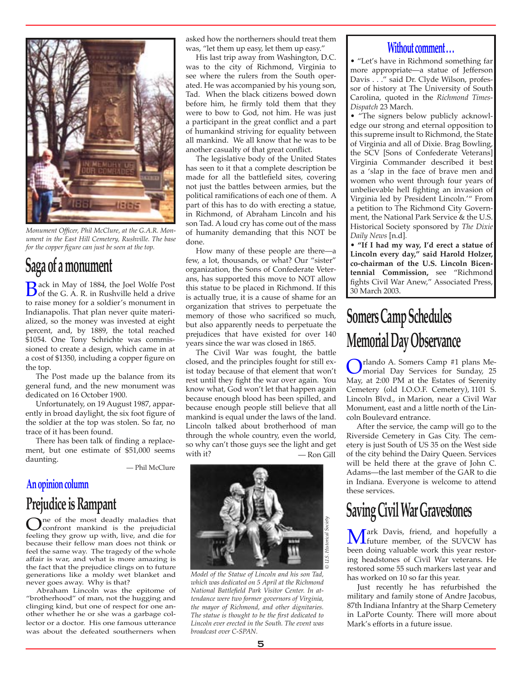

*Monument Officer, Phil McClure, at the G.A.R. Monument in the East Hill Cemetery, Rushville. The base for the copper figure can just be seen at the top.*

### **Saga of a monument**

**B**ack in May of 1884, the Joel Wolfe Post<br>of the G. A. R. in Rushville held a drive to raise money for a soldier's monument in Indianapolis. That plan never quite materialized, so the money was invested at eight percent, and, by 1889, the total reached \$1054. One Tony Schrichte was commissioned to create a design, which came in at a cost of \$1350, including a copper figure on the top.

The Post made up the balance from its general fund, and the new monument was dedicated on 16 October 1900.

Unfortunately, on 19 August 1987, apparently in broad daylight, the six foot figure of the soldier at the top was stolen. So far, no trace of it has been found.

There has been talk of finding a replacement, but one estimate of \$51,000 seems daunting.

— Phil McClure

#### **An opinion column**

### **Prejudice is Rampant**

One of the most deadly maladies that<br>confront mankind is the prejudicial<br>feeling they grow up with live and die for feeling they grow up with, live, and die for because their fellow man does not think or feel the same way. The tragedy of the whole affair is war, and what is more amazing is the fact that the prejudice clings on to future generations like a moldy wet blanket and never goes away. Why is that?

Abraham Lincoln was the epitome of "brotherhood" of man, not the hugging and clinging kind, but one of respect for one another whether he or she was a garbage collector or a doctor. His one famous utterance was about the defeated southerners when asked how the northerners should treat them was, "let them up easy, let them up easy."

His last trip away from Washington, D.C. was to the city of Richmond, Virginia to see where the rulers from the South operated. He was accompanied by his young son, Tad. When the black citizens bowed down before him, he firmly told them that they were to bow to God, not him. He was just a participant in the great conflict and a part of humankind striving for equality between all mankind. We all know that he was to be another casualty of that great conflict.

The legislative body of the United States has seen to it that a complete description be made for all the battlefield sites, covering not just the battles between armies, but the political ramifications of each one of them. A part of this has to do with erecting a statue, in Richmond, of Abraham Lincoln and his son Tad. A loud cry has come out of the mass of humanity demanding that this NOT be done.

How many of these people are there—a few, a lot, thousands, or what? Our "sister" organization, the Sons of Confederate Veterans, has supported this move to NOT allow this statue to be placed in Richmond. If this is actually true, it is a cause of shame for an organization that strives to perpetuate the memory of those who sacrificed so much, but also apparently needs to perpetuate the prejudices that have existed for over 140 years since the war was closed in 1865.

The Civil War was fought, the battle closed, and the principles fought for still exist today because of that element that won't rest until they fight the war over again. You know what, God won't let that happen again because enough blood has been spilled, and because enough people still believe that all mankind is equal under the laws of the land. Lincoln talked about brotherhood of man through the whole country, even the world, so why can't those guys see the light and get<br>with it? — Ron Gill — Ron Gill



*Model of the Statue of Lincoln and his son Tad, which was dedicated on 5 April at the Richmond National Battlefield Park Visitor Center. In attendance were two former governors of Virginia, the mayor of Richmond, and other dignitaries. The statue is thought to be the first dedicated to Lincoln ever erected in the South. The event was broadcast over C-SPAN.*

#### **Without comment . . .**

• "Let's have in Richmond something far more appropriate—a statue of Jefferson Davis . . ." said Dr. Clyde Wilson, professor of history at The University of South Carolina, quoted in the *Richmond Times-Dispatch* 23 March.

• "The signers below publicly acknowledge our strong and eternal opposition to this supreme insult to Richmond, the State of Virginia and all of Dixie. Brag Bowling, the SCV [Sons of Confederate Veterans] Virginia Commander described it best as a 'slap in the face of brave men and women who went through four years of unbelievable hell fighting an invasion of Virginia led by President Lincoln.'" From a petition to The Richmond City Government, the National Park Service & the U.S. Historical Society sponsored by *The Dixie Daily News* [n.d]*.*

• **"If I had my way, I'd erect a statue of Lincoln every day," said Harold Holzer, co-chairman of the U.S. Lincoln Bicentennial Commission,** see "Richmond fights Civil War Anew," Associated Press, 30 March 2003.

### **Somers Camp Schedules Memorial Day Observance**

**Orlando A. Somers Camp #1 plans Me-**<br> **Orlando Box Services** for Sunday, 25<br>
May at 2:00 PM at the Estates of Seronity May, at 2:00 PM at the Estates of Serenity Cemetery (old I.O.O.F. Cemetery), 1101 S. Lincoln Blvd., in Marion, near a Civil War Monument, east and a little north of the Lincoln Boulevard entrance.

After the service, the camp will go to the Riverside Cemetery in Gas City. The cemetery is just South of US 35 on the West side of the city behind the Dairy Queen. Services will be held there at the grave of John C. Adams—the last member of the GAR to die in Indiana. Everyone is welcome to attend these services.

### **Saving Civil War Gravestones**

**Mark Davis, friend, and hopefully a** future member, of the SUVCW has been doing volved been doing valuable work this year restoring headstones of Civil War veterans. He restored some 55 such markers last year and has worked on 10 so far this year.

Just recently he has refurbished the military and family stone of Andre Jacobus, 87th Indiana Infantry at the Sharp Cemetery in LaPorte County. There will more about Mark's efforts in a future issue.